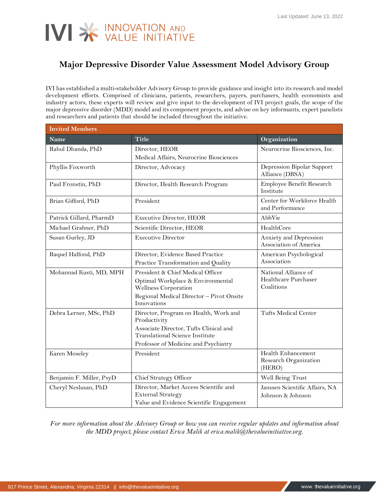## IVI SK INNOVATION AND

## **Major Depressive Disorder Value Assessment Model Advisory Group**

IVI has established a multi-stakeholder Advisory Group to provide guidance and insight into its research and model development efforts. Comprised of clinicians, patients, researchers, payers, purchasers, health economists and industry actors, these experts will review and give input to the development of IVI project goals, the scope of the major depressive disorder (MDD) model and its component projects, and advise on key informants, expert panelists and researchers and patients that should be included throughout the initiative.

| <b>Invited Members</b>   |                                                                                                                                                                                   |                                                            |  |
|--------------------------|-----------------------------------------------------------------------------------------------------------------------------------------------------------------------------------|------------------------------------------------------------|--|
| <b>Name</b>              | <b>Title</b>                                                                                                                                                                      | Organization                                               |  |
| Rahul Dhanda, PhD        | Director, HEOR<br>Medical Affairs, Neurocrine Biosciences                                                                                                                         | Neurocrine Biosciences, Inc.                               |  |
| Phyllis Foxworth         | Director, Advocacy                                                                                                                                                                | Depression Bipolar Support<br>Alliance (DBSA)              |  |
| Paul Fronstin, PhD       | Director, Health Research Program                                                                                                                                                 | Employee Benefit Research<br>Institute                     |  |
| Brian Gifford, PhD       | President                                                                                                                                                                         | Center for Workforce Health<br>and Performance             |  |
| Patrick Gillard, PharmD  | <b>Executive Director, HEOR</b>                                                                                                                                                   | AbbVie                                                     |  |
| Michael Grabner, PhD     | Scientific Director, HEOR                                                                                                                                                         | HealthCore                                                 |  |
| Susan Gurley, JD         | <b>Executive Director</b>                                                                                                                                                         | Anxiety and Depression<br>Association of America           |  |
| Raquel Halfond, PhD      | Director, Evidence Based Practice<br>Practice Transformation and Quality                                                                                                          | American Psychological<br>Association                      |  |
| Mohannad Kusti, MD, MPH  | President & Chief Medical Officer<br>Optimal Workplace & Environmental<br>Wellness Corporation<br>Regional Medical Director - Pivot Onsite<br>Innovations                         | National Alliance of<br>Healthcare Purchaser<br>Coalitions |  |
| Debra Lerner, MSc, PhD   | Director, Program on Health, Work and<br>Productivity<br>Associate Director, Tufts Clinical and<br><b>Translational Science Institute</b><br>Professor of Medicine and Psychiatry | Tufts Medical Center                                       |  |
| Karen Moseley            | President                                                                                                                                                                         | Health Enhancement<br>Research Organization<br>(HERO)      |  |
| Benjamin F. Miller, PsyD | Chief Strategy Officer                                                                                                                                                            | Well Being Trust                                           |  |
| Cheryl Neslusan, PhD     | Director, Market Access Scientific and<br><b>External Strategy</b><br>Value and Evidence Scientific Engagement                                                                    | Janssen Scientific Affairs, NA<br>Johnson & Johnson        |  |

*For more information about the Advisory Group or how you can receive regular updates and information about the MDD project, please contact Erica Malik at erica.malik@thevalueinitiative.org.*